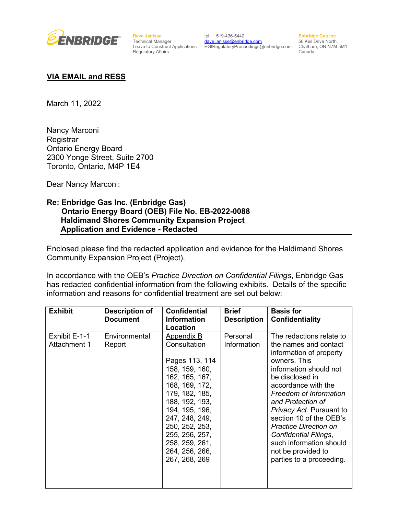

**Dave Janisse** Technical Manager Regulatory Affairs

Leave to Construct Applications EGIRegulatoryProceedings@enbridge.com Chatham, ON N7M 5M1 tel 519-436-5442 [dave.janisse@enbridge.com](mailto:dave.janisse@enbridge.com)

**Enbridge Gas Inc.**  50 Keil Drive North, Canada

## **VIA EMAIL and RESS**

March 11, 2022

Nancy Marconi **Registrar** Ontario Energy Board 2300 Yonge Street, Suite 2700 Toronto, Ontario, M4P 1E4

Dear Nancy Marconi:

## **Re: Enbridge Gas Inc. (Enbridge Gas) Ontario Energy Board (OEB) File No. EB-2022-0088 Haldimand Shores Community Expansion Project Application and Evidence - Redacted**

Enclosed please find the redacted application and evidence for the Haldimand Shores Community Expansion Project (Project).

In accordance with the OEB's *Practice Direction on Confidential Filings*, Enbridge Gas has redacted confidential information from the following exhibits. Details of the specific information and reasons for confidential treatment are set out below:

| <b>Exhibit</b>                | <b>Description of</b><br><b>Document</b> | <b>Confidential</b><br><b>Information</b><br>Location                                                                                                                                                                                                                      | <b>Brief</b><br><b>Description</b> | <b>Basis for</b><br><b>Confidentiality</b>                                                                                                                                                                                                                                                                                                                                                                          |
|-------------------------------|------------------------------------------|----------------------------------------------------------------------------------------------------------------------------------------------------------------------------------------------------------------------------------------------------------------------------|------------------------------------|---------------------------------------------------------------------------------------------------------------------------------------------------------------------------------------------------------------------------------------------------------------------------------------------------------------------------------------------------------------------------------------------------------------------|
| Exhibit E-1-1<br>Attachment 1 | Environmental<br>Report                  | <b>Appendix B</b><br>Consultation<br>Pages 113, 114<br>158, 159, 160,<br>162, 165, 167,<br>168, 169, 172,<br>179, 182, 185,<br>188, 192, 193,<br>194, 195, 196,<br>247, 248, 249,<br>250, 252, 253,<br>255, 256, 257,<br>258, 259, 261,<br>264, 256, 266,<br>267, 268, 269 | Personal<br>Information            | The redactions relate to<br>the names and contact<br>information of property<br>owners. This<br>information should not<br>be disclosed in<br>accordance with the<br>Freedom of Information<br>and Protection of<br>Privacy Act. Pursuant to<br>section 10 of the OEB's<br><b>Practice Direction on</b><br><b>Confidential Filings,</b><br>such information should<br>not be provided to<br>parties to a proceeding. |